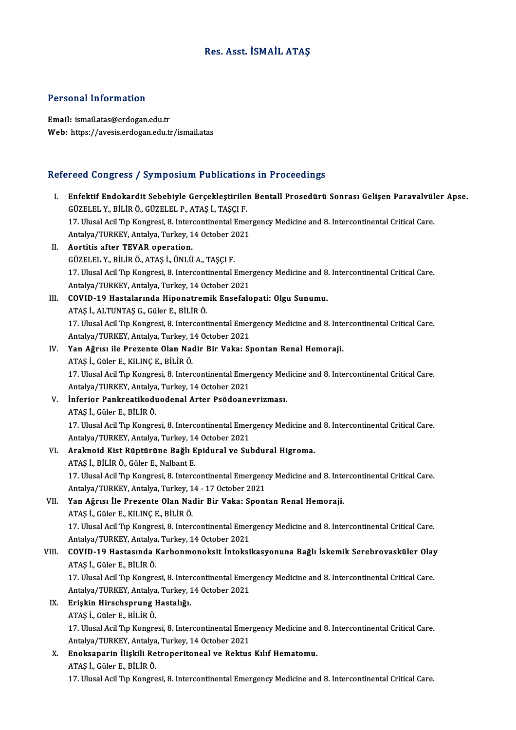#### Res. Asst. İSMAİL ATAŞ

#### Personal Information

Email: ismail.atas@erdogan.edu.tr Web: https://avesis.erdogan.edu.tr/ismail.atas

# refereed Congress / Symposium Publications in Proceedings<br>Refereed Congress / Symposium Publications in Proceedings

|       | Refereed Congress / Symposium Publications in Proceedings                                                                                                            |
|-------|----------------------------------------------------------------------------------------------------------------------------------------------------------------------|
| L.    | Enfektif Endokardit Sebebiyle Gerçekleştirilen Bentall Prosedürü Sonrası Gelişen Paravalvüler Apse.<br>GÜZELEL Y., BİLİR Ö., GÜZELEL P., ATAŞ İ., TAŞÇI F.           |
|       | 17. Ulusal Acil Tıp Kongresi, 8. Intercontinental Emergency Medicine and 8. Intercontinental Critical Care.<br>Antalya/TURKEY, Antalya, Turkey, 14 October 2021      |
| П.    | Aortitis after TEVAR operation.                                                                                                                                      |
|       | GÜZELEL Y., BİLİR Ö., ATAŞ İ., ÜNLÜ A., TAŞÇI F.                                                                                                                     |
|       | 17. Ulusal Acil Tıp Kongresi, 8. Intercontinental Emergency Medicine and 8. Intercontinental Critical Care.                                                          |
|       | Antalya/TURKEY, Antalya, Turkey, 14 October 2021                                                                                                                     |
| III.  | COVID-19 Hastalarında Hiponatremik Ensefalopati: Olgu Sunumu.                                                                                                        |
|       | ATAŞ İ., ALTUNTAŞ G., Güler E., BİLİR Ö.                                                                                                                             |
|       | 17. Ulusal Acil Tıp Kongresi, 8. Intercontinental Emergency Medicine and 8. Intercontinental Critical Care.                                                          |
|       | Antalya/TURKEY, Antalya, Turkey, 14 October 2021                                                                                                                     |
| IV.   | Yan Ağrısı ile Prezente Olan Nadir Bir Vaka: Spontan Renal Hemoraji.                                                                                                 |
|       | ATAŞ İ., Güler E., KILINÇ E., BİLİR Ö.                                                                                                                               |
|       | 17. Ulusal Acil Tıp Kongresi, 8. Intercontinental Emergency Medicine and 8. Intercontinental Critical Care.<br>Antalya/TURKEY, Antalya, Turkey, 14 October 2021      |
| V.    | Inferior Pankreatikoduodenal Arter Psödoanevrizması.                                                                                                                 |
|       | ATAŞ İ., Güler E., BİLİR Ö.                                                                                                                                          |
|       | 17. Ulusal Acil Tıp Kongresi, 8. Intercontinental Emergency Medicine and 8. Intercontinental Critical Care.                                                          |
|       | Antalya/TURKEY, Antalya, Turkey, 14 October 2021                                                                                                                     |
| VI.   | Araknoid Kist Rüptürüne Bağlı Epidural ve Subdural Higroma.                                                                                                          |
|       | ATAŞ İ., BİLİR Ö., Güler E., Nalbant E.                                                                                                                              |
|       | 17. Ulusal Acil Tıp Kongresi, 8. Intercontinental Emergency Medicine and 8. Intercontinental Critical Care.<br>Antalya/TURKEY, Antalya, Turkey, 14 - 17 October 2021 |
| VII.  | Yan Ağrısı İle Prezente Olan Nadir Bir Vaka: Spontan Renal Hemoraji.                                                                                                 |
|       | ATAŞ İ., Güler E., KILINÇ E., BİLİR Ö.                                                                                                                               |
|       | 17. Ulusal Acil Tıp Kongresi, 8. Intercontinental Emergency Medicine and 8. Intercontinental Critical Care.                                                          |
|       | Antalya/TURKEY, Antalya, Turkey, 14 October 2021                                                                                                                     |
| VIII. | COVID-19 Hastasında Karbonmonoksit İntoksikasyonuna Bağlı İskemik Serebrovasküler Olay                                                                               |
|       | ATAŞ İ., Güler E., BİLİR Ö.                                                                                                                                          |
|       | 17. Ulusal Acil Tıp Kongresi, 8. Intercontinental Emergency Medicine and 8. Intercontinental Critical Care.                                                          |
|       | Antalya/TURKEY, Antalya, Turkey, 14 October 2021                                                                                                                     |
| IX.   | Erişkin Hirschsprung Hastalığı.                                                                                                                                      |
|       | ATAŞ İ., Güler E., BİLİR Ö.                                                                                                                                          |
|       | 17. Ulusal Acil Tıp Kongresi, 8. Intercontinental Emergency Medicine and 8. Intercontinental Critical Care.                                                          |
|       | Antalya/TURKEY, Antalya, Turkey, 14 October 2021                                                                                                                     |
| X.    | Enoksaparin İlişkili Retroperitoneal ve Rektus Kılıf Hematomu.                                                                                                       |
|       | ATAŞ İ., Güler E., BİLİR Ö.                                                                                                                                          |
|       | 17. Ulusal Acil Tıp Kongresi, 8. Intercontinental Emergency Medicine and 8. Intercontinental Critical Care.                                                          |